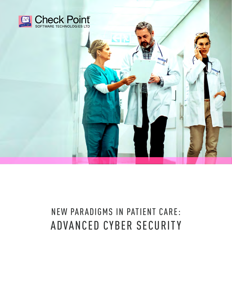

# NEW PARADIGMS IN PATIENT CARE: ADVANCED CYBER SECURITY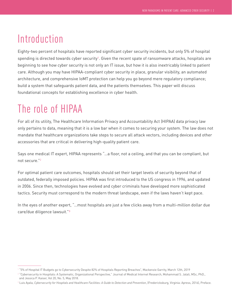### Introduction

Eighty-two percent of hospitals have reported significant cyber security incidents, but only 5% of hospital spending is directed towards cyber security<sup>1</sup>. Given the recent spate of ransomware attacks, hospitals are beginning to see how cyber security is not only an IT issue, but how it is also inextricably linked to patient care. Although you may have HIPAA-compliant cyber security in place, granular visibility, an automated architecture, and comprehensive IoMT protection can help you go beyond mere regulatory compliance; build a system that safeguards patient data, and the patients themselves. This paper will discuss foundational concepts for establishing excellence in cyber health.

### The role of HIPAA

For all of its utility, The Healthcare Information Privacy and Accountability Act (HIPAA) data privacy law only pertains to data, meaning that it is a low bar when it comes to securing your system. The law does not mandate that healthcare organizations take steps to secure all attack vectors, including devices and other accessories that are critical in delivering high-quality patient care.

Says one medical IT expert, HIPAA represents "…a floor, not a ceiling, and that you can be compliant, but not secure."<sup>2</sup>

For optimal patient care outcomes, hospitals should set their target levels of security beyond that of outdated, federally imposed policies. HIPAA was first introduced to the US congress in 1996, and updated in 2006. Since then, technologies have evolved and cyber criminals have developed more sophisticated tactics. Security must correspond to the modern threat landscape, even if the laws haven't kept pace.

In the eyes of another expert, "…most hospitals are just a few clicks away from a multi-million dollar due care/due diligence lawsuit."3

<sup>1</sup> "5% of Hospital IT Budgets go to Cybersecurity Despite 82% of Hospitals Reporting Breaches", Mackenzie Garrity, March 12th, 2019

<sup>2</sup> "Cybersecurity in Hospitals: A Systematic, Organizational Perspective," Journal of Medical Internet Research, Mohammad S. Jalali, MSc, PhD., and Jessica P. Kaiser, Vol 20, No. 5, May 2018.

 $^{\rm 3}$  Luis Ayala, *Cybersecurity for Hospitals and Healthcare Facilities: A Guide to Detection and Prevention*, (Fredericksburg, Virginia: Apress, 2016), Preface.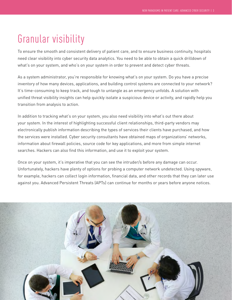## Granular visibility

To ensure the smooth and consistent delivery of patient care, and to ensure business continuity, hospitals need clear visibility into cyber security data analytics. You need to be able to obtain a quick drilldown of what's on your system, and who's on your system in order to prevent and detect cyber threats.

As a system administrator, you're responsible for knowing what's on your system. Do you have a precise inventory of how many devices, applications, and building control systems are connected to your network? It's time-consuming to keep track, and tough to untangle as an emergency unfolds. A solution with unified threat visibility insights can help quickly isolate a suspicious device or activity, and rapidly help you transition from analysis to action.

In addition to tracking what's on your system, you also need visibility into what's out there about your system. In the interest of highlighting successful client relationships, third-party vendors may electronically publish information describing the types of services their clients have purchased, and how the services were installed. Cyber security consultants have obtained maps of organizations' networks, information about firewall policies, source code for key applications, and more from simple internet searches. Hackers can also find this information, and use it to exploit your system.

Once on your system, it's imperative that you can see the intruder/s before any damage can occur. Unfortunately, hackers have plenty of options for probing a computer network undetected. Using spyware, for example, hackers can collect login information, financial data, and other records that they can later use against you. Advanced Persistent Threats (APTs) can continue for months or years before anyone notices.

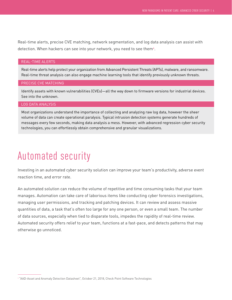Real-time alerts, precise CVE matching, network segmentation, and log data analysis can assist with detection. When hackers can see into your network, you need to see them4.

#### REAL-TIME ALERTS

Real-time alerts help protect your organization from Advanced Persistent Threats (APTs), malware, and ransomware. Real-time threat analysis can also engage machine learning tools that identify previously unknown threats.

#### PRECISE CVE MATCHING

Identify assets with known vulnerabilities (CVEs)—all the way down to firmware versions for industrial devices. See into the unknown.

#### LOG DATA ANALYSIS

Most organizations understand the importance of collecting and analyzing raw log data, however the sheer volume of data can create operational paralysis. Typical intrusion detection systems generate hundreds of messages every few seconds, making data analysis a mess. However, with advanced regression cyber security technologies, you can effortlessly obtain comprehensive and granular visualizations.

### Automated security

Investing in an automated cyber security solution can improve your team's productivity, adverse event reaction time, and error rate.

An automated solution can reduce the volume of repetitive and time consuming tasks that your team manages. Automation can take care of laborious items like conducting cyber forensics investigations, managing user permissions, and tracking and patching devices. It can review and assess massive quantities of data, a task that's often too large for any one person, or even a small team. The number of data sources, especially when tied to disparate tools, impedes the rapidity of real-time review. Automated security offers relief to your team, functions at a fast-pace, and detects patterns that may otherwise go unnoticed.

<sup>4</sup> "AAD-Asset and Anomaly Detection Datasheet", October 21, 2018, Check Point Software Technologies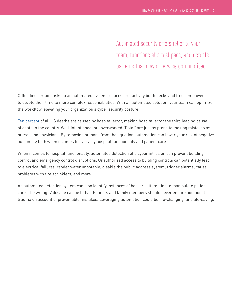Automated security offers relief to your team, functions at a fast pace, and detects patterns that may otherwise go unnoticed.

Offloading certain tasks to an automated system reduces productivity bottlenecks and frees employees to devote their time to more complex responsibilities. With an automated solution, your team can optimize the workflow, elevating your organization's cyber security posture.

Ten percent of all US deaths are caused by hospital error, making hospital error the third leading cause of death in the country. Well-intentioned, but overworked IT staff are just as prone to making mistakes as nurses and physicians. By removing humans from the equation, automation can lower your risk of negative outcomes; both when it comes to everyday hospital functionality and patient care.

When it comes to hospital functionality, automated detection of a cyber intrusion can prevent building control and emergency control disruptions. Unauthorized access to building controls can potentially lead to electrical failures, render water unpotable, disable the public address system, trigger alarms, cause problems with fire sprinklers, and more.

An automated detection system can also identify instances of hackers attempting to manipulate patient care. The wrong IV dosage can be lethal. Patients and family members should never endure additional trauma on account of preventable mistakes. Leveraging automation could be life-changing, and life-saving.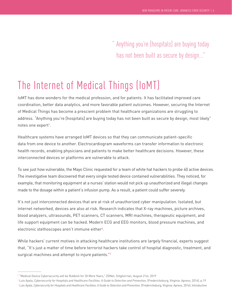" Anything you're [hospitals] are buying today has not been built as secure by design..."

## The Internet of Medical Things (IoMT)

IoMT has done wonders for the medical profession, and for patients. It has facilitated improved care coordination, better data analytics, and more favorable patient outcomes. However, securing the Internet of Medical Things has become a prescient problem that healthcare organizations are struggling to address. "Anything you're [hospitals] are buying today has not been built as secure by design, most likely" notes one expert<sup>5</sup>.

Healthcare systems have arranged IoMT devices so that they can communicate patient-specific data from one device to another. Electrocardiogram waveforms can transfer information to electronic health records, enabling physicians and patients to make better healthcare decisions. However, these interconnected devices or platforms are vulnerable to attack.

To see just how vulnerable, the Mayo Clinic requested for a team of white hat hackers to probe 40 active devices. The investigative team discovered that every single tested device contained vulnerabilities. They noticed, for example, that monitoring equipment at a nurses' station would not pick up unauthorized and illegal changes made to the dosage within a patient's infusion pump. As a result, a patient could suffer severely.

It's not just interconnected devices that are at risk of unauthorized cyber manipulation. Isolated, but internet networked, devices are also at risk. Research indicates that X-ray machines, picture archives, blood analyzers, ultrasounds, PET scanners, CT scanners, MRI machines, therapeutic equipment, and life support equipment can be hacked. Modern ECG and EEG monitors, blood pressure machines, and electronic stethoscopes aren't immune either<sup>6</sup>.

While hackers' current motives in attacking healthcare institutions are largely financial, experts suggest that, "It's just a matter of time before terrorist hackers take control of hospital diagnostic, treatment, and surgical machines and attempt to injure patients."7

<sup>&</sup>lt;sup>5</sup> "Medical Device Cybersecurity will be Rubbish for 20 More Years," ZDNet, Stilgherrian, August 21st, 2019

<sup>6</sup> Luis Ayala, *Cybersecurity for Hospitals and Healthcare Facilities: A Guide to Detection and Prevention*, (Fredericksburg, Virginia: Apress, 2016), p.19 7 Luis Ayala, *Cybersecurity for Hospitals and Healthcare Facilities: A Guide to Detection and Prevention*, (Fredericksburg, Virginia: Apress, 2016), Introduction